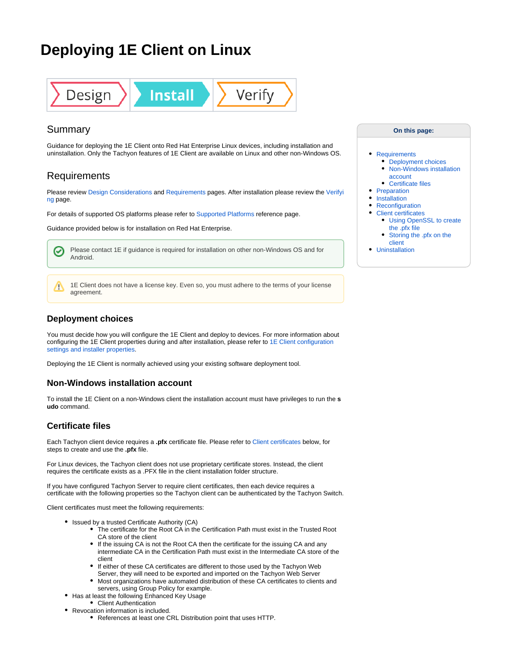# **Deploying 1E Client on Linux**



# Summary

Guidance for deploying the 1E Client onto Red Hat Enterprise Linux devices, including installation and uninstallation. Only the Tachyon features of 1E Client are available on Linux and other non-Windows OS.

# <span id="page-0-0"></span>**Requirements**

Please review [Design Considerations](https://help.1e.com/display/1EC50/Design+Considerations) and [Requirements](https://help.1e.com/display/1EC50/Requirements) pages. After installation please review the [Verifyi](https://help.1e.com/display/1EC50/Verifying) [ng](https://help.1e.com/display/1EC50/Verifying) page.

For details of supported OS platforms please refer to [Supported Platforms](https://help.1e.com/display/1EC50/Supported+Platforms) reference page.

Guidance provided below is for installation on Red Hat Enterprise.

Please contact 1E if guidance is required for installation on other non-Windows OS and for **[Uninstallation](#page-3-1)** ☑ Android.

1E Client does not have a license key. Even so, you must adhere to the terms of your license agreement.

## <span id="page-0-1"></span>**Deployment choices**

Δ

You must decide how you will configure the 1E Client and deploy to devices. For more information about configuring the 1E Client properties during and after installation, please refer to [1E Client configuration](https://help.1e.com/display/1EC50/1E+Client+configuration+settings+and+installer+properties)  [settings and installer properties](https://help.1e.com/display/1EC50/1E+Client+configuration+settings+and+installer+properties).

Deploying the 1E Client is normally achieved using your existing software deployment tool.

## <span id="page-0-2"></span>**Non-Windows installation account**

To install the 1E Client on a non-Windows client the installation account must have privileges to run the **s udo** command.

## <span id="page-0-3"></span>**Certificate files**

Each Tachyon client device requires a **.pfx** certificate file. Please refer to [Client certificates](#page-2-0) below, for steps to create and use the **.pfx** file.

For Linux devices, the Tachyon client does not use proprietary certificate stores. Instead, the client requires the certificate exists as a .PFX file in the client installation folder structure.

If you have configured Tachyon Server to require client certificates, then each device requires a certificate with the following properties so the Tachyon client can be authenticated by the Tachyon Switch.

Client certificates must meet the following requirements:

- Issued by a trusted Certificate Authority (CA)
	- The certificate for the Root CA in the Certification Path must exist in the Trusted Root CA store of the client
	- If the issuing CA is not the Root CA then the certificate for the issuing CA and any intermediate CA in the Certification Path must exist in the Intermediate CA store of the client
	- If either of these CA certificates are different to those used by the Tachyon Web Server, they will need to be exported and imported on the Tachyon Web Server
	- Most organizations have automated distribution of these CA certificates to clients and servers, using Group Policy for example.
- Has at least the following Enhanced Key Usage
	- Client Authentication
- Revocation information is included.
	- References at least one CRL Distribution point that uses HTTP.

#### **On this page:**

#### • [Requirements](#page-0-0)

- [Deployment choices](#page-0-1)
- Non-Windows installation [account](#page-0-2)
- [Certificate files](#page-0-3)
- [Preparation](#page-1-0)
- [Installation](#page-1-1)
- [Reconfiguration](#page-1-2) [Client certificates](#page-2-0)
	- [Using OpenSSL to create](#page-2-1)  [the .pfx file](#page-2-1)
	- [Storing the .pfx on the](#page-3-0)  [client](#page-3-0)
-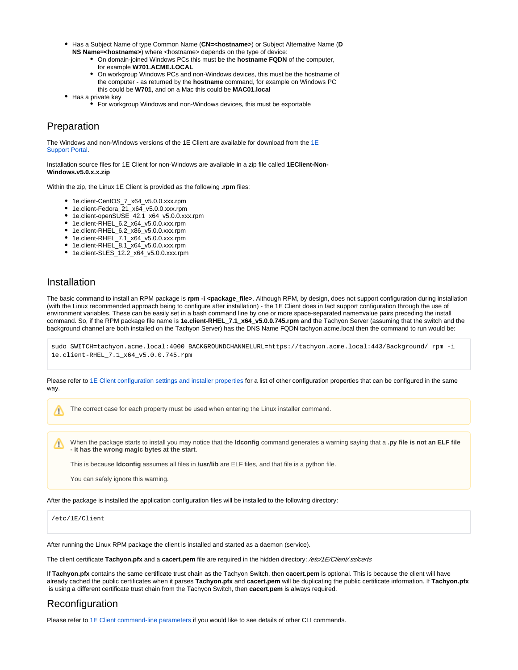- Has a Subject Name of type Common Name (**CN=<hostname>**) or Subject Alternative Name (**D NS Name=<hostname>**) where <hostname> depends on the type of device:
	- On domain-joined Windows PCs this must be the **hostname FQDN** of the computer, for example **W701.ACME.LOCAL**
	- On workgroup Windows PCs and non-Windows devices, this must be the hostname of the computer - as returned by the **hostname** command, for example on Windows PC this could be **W701**, and on a Mac this could be **MAC01.local**
- Has a private key
	- For workgroup Windows and non-Windows devices, this must be exportable

# <span id="page-1-0"></span>Preparation

The Windows and non-Windows versions of the [1E](https://1eportal.force.com/s/tachyontopicdetail) Client are available for download from the  $1E$ [Support Portal](https://1eportal.force.com/s/tachyontopicdetail).

Installation source files for 1E Client for non-Windows are available in a zip file called **1EClient-Non-Windows.v5.0.x.x.zip**

Within the zip, the Linux 1E Client is provided as the following **.rpm** files:

- 1e.client-CentOS\_7\_x64\_v5.0.0.xxx.rpm
- 1e.client-Fedora\_21\_x64\_v5.0.0.xxx.rpm
- 1e.client-openSUSE\_42.1\_x64\_v5.0.0.xxx.rpm
- 1e.client-RHEL\_6.2\_x64\_v5.0.0.xxx.rpm
- 1e.client-RHEL\_6.2\_x86\_v5.0.0.xxx.rpm
- 1e.client-RHEL\_7.1\_x64\_v5.0.0.xxx.rpm
- 1e.client-RHEL\_8.1\_x64\_v5.0.0.xxx.rpm
- 1e.client-SLES\_12.2\_x64\_v5.0.0.xxx.rpm

## <span id="page-1-1"></span>Installation

Λ

The basic command to install an RPM package is **rpm -i <package\_file>**. Although RPM, by design, does not support configuration during installation (with the Linux recommended approach being to configure after installation) - the 1E Client does in fact support configuration through the use of environment variables. These can be easily set in a bash command line by one or more space-separated name=value pairs preceding the install command. So, if the RPM package file name is **1e.client-RHEL\_7.1\_x64\_v5.0.0.745.rpm** and the Tachyon Server (assuming that the switch and the background channel are both installed on the Tachyon Server) has the DNS Name FQDN tachyon.acme.local then the command to run would be:

```
sudo SWITCH=tachyon.acme.local:4000 BACKGROUNDCHANNELURL=https://tachyon.acme.local:443/Background/ rpm -i
1e.client-RHEL_7.1_x64_v5.0.0.745.rpm
```
Please refer to [1E Client configuration settings and installer properties](https://help.1e.com/display/1EC50/1E+Client+configuration+settings+and+installer+properties) for a list of other configuration properties that can be configured in the same way.

The correct case for each property must be used when entering the Linux installer command.

When the package starts to install you may notice that the **ldconfig** command generates a warning saying that a **.py file is not an ELF file**  Δ **- it has the wrong magic bytes at the start**.

This is because **ldconfig** assumes all files in **/usr/lib** are ELF files, and that file is a python file.

You can safely ignore this warning.

After the package is installed the application configuration files will be installed to the following directory:

/etc/1E/Client

After running the Linux RPM package the client is installed and started as a daemon (service).

The client certificate **Tachyon.pfx** and a **cacert.pem** file are required in the hidden directory: /etc/1E/Client/.sslcerts

If **Tachyon.pfx** contains the same certificate trust chain as the Tachyon Switch, then **cacert.pem** is optional. This is because the client will have already cached the public certificates when it parses **Tachyon.pfx** and **cacert.pem** will be duplicating the public certificate information. If **Tachyon.pfx** is using a different certificate trust chain from the Tachyon Switch, then **cacert.pem** is always required.

# <span id="page-1-2"></span>Reconfiguration

Please refer to [1E Client command-line parameters](https://help.1e.com/display/1EC50/1E+Client+command-line+parameters) if you would like to see details of other CLI commands.

ന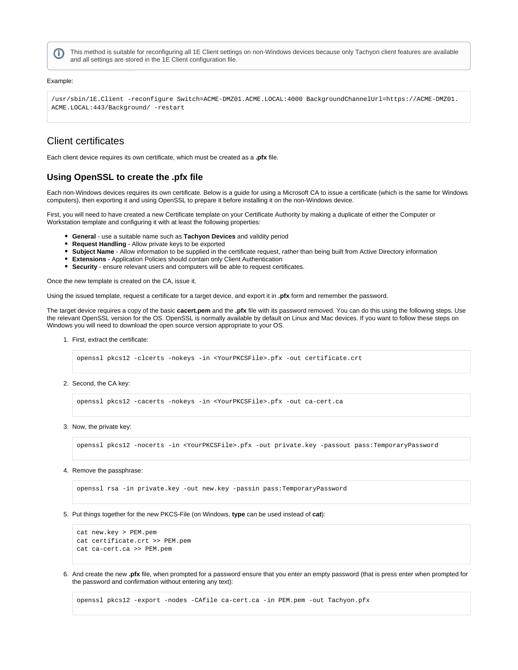This method is suitable for reconfiguring all 1E Client settings on non-Windows devices because only Tachyon client features are available and all settings are stored in the 1E Client configuration file.

#### Example:

(i)

/usr/sbin/1E.Client -reconfigure Switch=ACME-DMZ01.ACME.LOCAL:4000 BackgroundChannelUrl=https://ACME-DMZ01. ACME.LOCAL:443/Background/ -restart

# <span id="page-2-0"></span>Client certificates

Each client device requires its own certificate, which must be created as a **.pfx** file.

### <span id="page-2-1"></span>**Using OpenSSL to create the .pfx file**

Each non-Windows devices requires its own certificate. Below is a guide for using a Microsoft CA to issue a certificate (which is the same for Windows computers), then exporting it and using OpenSSL to prepare it before installing it on the non-Windows device.

First, you will need to have created a new Certificate template on your Certificate Authority by making a duplicate of either the Computer or Workstation template and configuring it with at least the following properties:

- **General** use a suitable name such as **Tachyon Devices** and validity period
- **Request Handling** Allow private keys to be exported
- **Subject Name** Allow information to be supplied in the certificate request, rather than being built from Active Directory information
- **Extensions** Application Policies should contain only Client Authentication
- **Security** ensure relevant users and computers will be able to request certificates.

Once the new template is created on the CA, issue it.

Using the issued template, request a certificate for a target device, and export it in **.pfx** form and remember the password.

The target device requires a copy of the basic **cacert.pem** and the **.pfx** file with its password removed. You can do this using the following steps. Use the relevant OpenSSL version for the OS. OpenSSL is normally available by default on Linux and Mac devices. If you want to follow these steps on Windows you will need to download the open source version appropriate to your OS.

1. First, extract the certificate:

openssl pkcs12 -clcerts -nokeys -in <YourPKCSFile>.pfx -out certificate.crt

2. Second, the CA key:

openssl pkcs12 -cacerts -nokeys -in <YourPKCSFile>.pfx -out ca-cert.ca

#### 3. Now, the private key:

openssl pkcs12 -nocerts -in <YourPKCSFile>.pfx -out private.key -passout pass:TemporaryPassword

#### 4. Remove the passphrase:

openssl rsa -in private.key -out new.key -passin pass:TemporaryPassword

5. Put things together for the new PKCS-File (on Windows, **type** can be used instead of **cat**):

```
cat new.key > PEM.pem
cat certificate.crt >> PEM.pem
cat ca-cert.ca >> PEM.pem
```
6. And create the new **.pfx** file, when prompted for a password ensure that you enter an empty password (that is press enter when prompted for the password and confirmation without entering any text):

openssl pkcs12 -export -nodes -CAfile ca-cert.ca -in PEM.pem -out Tachyon.pfx